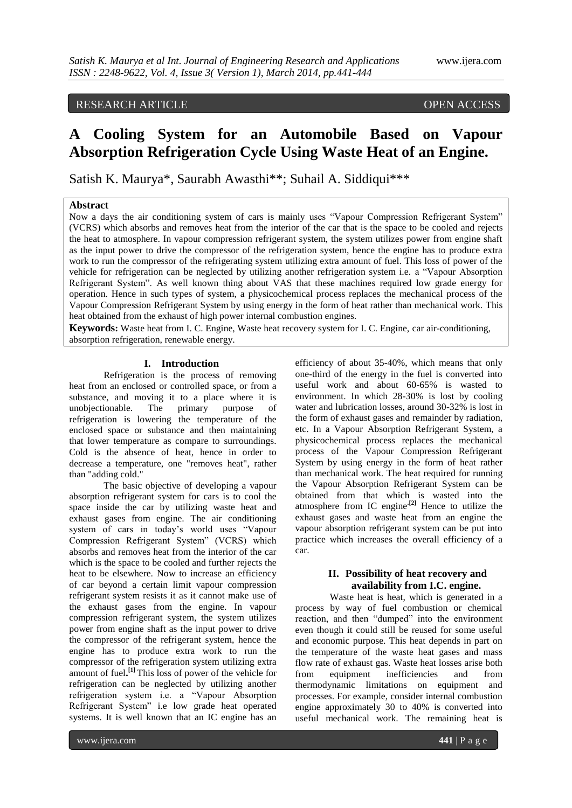# RESEARCH ARTICLE OPEN ACCESS

# **A Cooling System for an Automobile Based on Vapour Absorption Refrigeration Cycle Using Waste Heat of an Engine.**

Satish K. Maurya\*, Saurabh Awasthi\*\*; Suhail A. Siddiqui\*\*\*

# **Abstract**

Now a days the air conditioning system of cars is mainly uses "Vapour Compression Refrigerant System" (VCRS) which absorbs and removes heat from the interior of the car that is the space to be cooled and rejects the heat to atmosphere. In vapour compression refrigerant system, the system utilizes power from engine shaft as the input power to drive the compressor of the refrigeration system, hence the engine has to produce extra work to run the compressor of the refrigerating system utilizing extra amount of fuel. This loss of power of the vehicle for refrigeration can be neglected by utilizing another refrigeration system i.e. a "Vapour Absorption Refrigerant System". As well known thing about VAS that these machines required low grade energy for operation. Hence in such types of system, a physicochemical process replaces the mechanical process of the Vapour Compression Refrigerant System by using energy in the form of heat rather than mechanical work. This heat obtained from the exhaust of high power internal combustion engines.

**Keywords:** Waste heat from I. C. Engine, Waste heat recovery system for I. C. Engine, car air-conditioning, absorption refrigeration, renewable energy.

#### **I. Introduction**

Refrigeration is the process of removing heat from an enclosed or controlled space, or from a substance, and moving it to a place where it is unobjectionable. The primary purpose of refrigeration is lowering the temperature of the enclosed space or substance and then maintaining that lower temperature as compare to surroundings. Cold is the absence of heat, hence in order to decrease a temperature, one "removes heat", rather than "adding cold."

The basic objective of developing a vapour absorption refrigerant system for cars is to cool the space inside the car by utilizing waste heat and exhaust gases from engine. The air conditioning system of cars in today's world uses "Vapour Compression Refrigerant System" (VCRS) which absorbs and removes heat from the interior of the car which is the space to be cooled and further rejects the heat to be elsewhere. Now to increase an efficiency of car beyond a certain limit vapour compression refrigerant system resists it as it cannot make use of the exhaust gases from the engine. In vapour compression refrigerant system, the system utilizes power from engine shaft as the input power to drive the compressor of the refrigerant system, hence the engine has to produce extra work to run the compressor of the refrigeration system utilizing extra amount of fuel**. [1]** This loss of power of the vehicle for refrigeration can be neglected by utilizing another refrigeration system i.e. a "Vapour Absorption Refrigerant System" i.e low grade heat operated systems. It is well known that an IC engine has an

efficiency of about 35-40%, which means that only one-third of the energy in the fuel is converted into useful work and about 60-65% is wasted to environment. In which 28-30% is lost by cooling water and lubrication losses, around 30-32% is lost in the form of exhaust gases and remainder by radiation, etc. In a Vapour Absorption Refrigerant System, a physicochemical process replaces the mechanical process of the Vapour Compression Refrigerant System by using energy in the form of heat rather than mechanical work. The heat required for running the Vapour Absorption Refrigerant System can be obtained from that which is wasted into the atmosphere from IC engine**.[2]** Hence to utilize the exhaust gases and waste heat from an engine the vapour absorption refrigerant system can be put into practice which increases the overall efficiency of a car.

# **II. Possibility of heat recovery and availability from I.C. engine.**

Waste heat is heat, which is generated in a process by way of fuel combustion or chemical reaction, and then "dumped" into the environment even though it could still be reused for some useful and economic purpose. This heat depends in part on the temperature of the waste heat gases and mass flow rate of exhaust gas. Waste heat losses arise both from equipment inefficiencies and from thermodynamic limitations on equipment and processes. For example, consider internal combustion engine approximately 30 to 40% is converted into useful mechanical work. The remaining heat is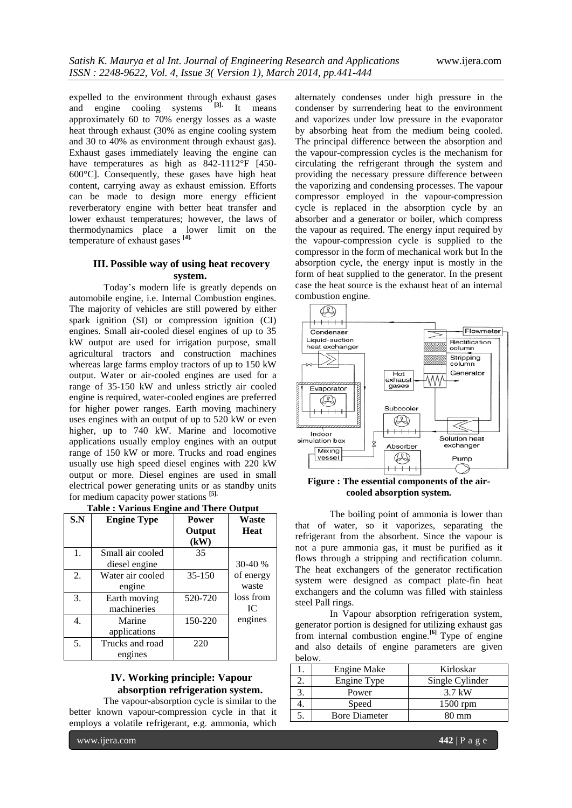expelled to the environment through exhaust gases and engine cooling systems **[3].** It means approximately 60 to 70% energy losses as a waste heat through exhaust (30% as engine cooling system and 30 to 40% as environment through exhaust gas). Exhaust gases immediately leaving the engine can have temperatures as high as 842-1112°F [450-600°C]. Consequently, these gases have high heat content, carrying away as exhaust emission. Efforts can be made to design more energy efficient reverberatory engine with better heat transfer and lower exhaust temperatures; however, the laws of thermodynamics place a lower limit on the temperature of exhaust gases **[4].**

## **III. Possible way of using heat recovery system.**

Today's modern life is greatly depends on automobile engine, i.e. Internal Combustion engines. The majority of vehicles are still powered by either spark ignition (SI) or compression ignition (CI) engines. Small air-cooled diesel engines of up to 35 kW output are used for irrigation purpose, small agricultural tractors and construction machines whereas large farms employ tractors of up to 150 kW output. Water or air-cooled engines are used for a range of 35-150 kW and unless strictly air cooled engine is required, water-cooled engines are preferred for higher power ranges. Earth moving machinery uses engines with an output of up to 520 kW or even higher, up to 740 kW. Marine and locomotive applications usually employ engines with an output range of 150 kW or more. Trucks and road engines usually use high speed diesel engines with 220 kW output or more. Diesel engines are used in small electrical power generating units or as standby units for medium capacity power stations **[5].**

| ರ   |                    |              |           |  |  |
|-----|--------------------|--------------|-----------|--|--|
| S.N | <b>Engine Type</b> | <b>Power</b> | Waste     |  |  |
|     |                    | Output       | Heat      |  |  |
|     |                    | (kW)         |           |  |  |
| 1.  | Small air cooled   | 35           |           |  |  |
|     | diesel engine      |              | $30-40%$  |  |  |
| 2.  | Water air cooled   | $35 - 150$   | of energy |  |  |
|     | engine             |              | waste     |  |  |
| 3.  | Earth moving       | 520-720      | loss from |  |  |
|     | machineries        |              | IC.       |  |  |
| 4.  | Marine             | 150-220      | engines   |  |  |
|     | applications       |              |           |  |  |
| 5.  | Trucks and road    | 220          |           |  |  |
|     | engines            |              |           |  |  |

# **IV. Working principle: Vapour absorption refrigeration system.**

The vapour-absorption cycle is similar to the better known vapour-compression cycle in that it employs a volatile refrigerant, e.g. ammonia, which

alternately condenses under high pressure in the condenser by surrendering heat to the environment and vaporizes under low pressure in the evaporator by absorbing heat from the medium being cooled. The principal difference between the absorption and the vapour-compression cycles is the mechanism for circulating the refrigerant through the system and providing the necessary pressure difference between the vaporizing and condensing processes. The vapour compressor employed in the vapour-compression cycle is replaced in the absorption cycle by an absorber and a generator or boiler, which compress the vapour as required. The energy input required by the vapour-compression cycle is supplied to the compressor in the form of mechanical work but In the absorption cycle, the energy input is mostly in the form of heat supplied to the generator. In the present case the heat source is the exhaust heat of an internal combustion engine.



**Figure : The essential components of the aircooled absorption system.**

The boiling point of ammonia is lower than that of water, so it vaporizes, separating the refrigerant from the absorbent. Since the vapour is not a pure ammonia gas, it must be purified as it flows through a stripping and rectification column. The heat exchangers of the generator rectification system were designed as compact plate-fin heat exchangers and the column was filled with stainless steel Pall rings.

In Vapour absorption refrigeration system, generator portion is designed for utilizing exhaust gas from internal combustion engine.**[6]** Type of engine and also details of engine parameters are given below.

| <b>Engine Make</b>   | Kirloskar       |
|----------------------|-----------------|
| Engine Type          | Single Cylinder |
| Power                | 3.7 kW          |
| Speed                | $1500$ rpm      |
| <b>Bore Diameter</b> | 80 mm           |
|                      |                 |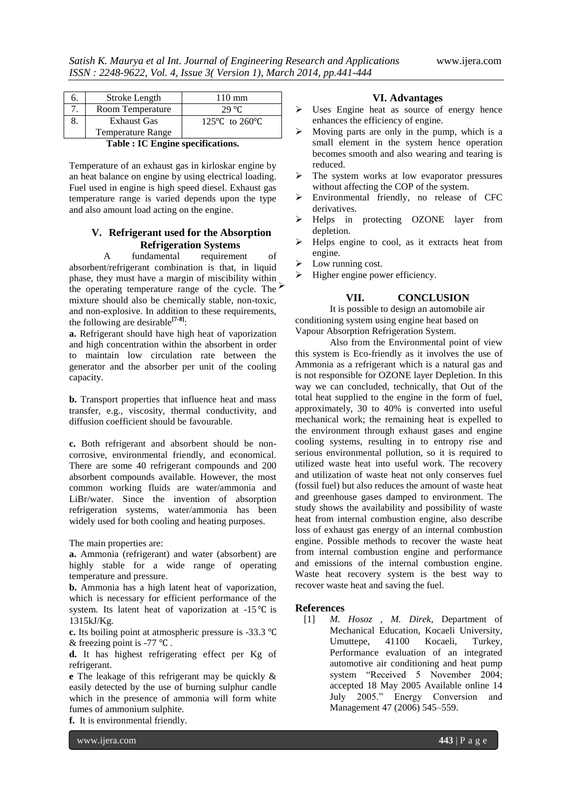|                                                                                                                                            | Stroke Length      | $110 \text{ mm}$                   |  |  |
|--------------------------------------------------------------------------------------------------------------------------------------------|--------------------|------------------------------------|--|--|
|                                                                                                                                            | Room Temperature   | 29 °C                              |  |  |
|                                                                                                                                            | <b>Exhaust Gas</b> | 125 $\degree$ C to 260 $\degree$ C |  |  |
|                                                                                                                                            | Temperature Range  |                                    |  |  |
| $\mathbf{m}$ . I.e., $\mathbf{m}$ , $\mathbf{m}$ , $\mathbf{m}$ , $\mathbf{m}$ , $\mathbf{m}$ , $\mathbf{m}$ , $\mathbf{m}$ , $\mathbf{m}$ |                    |                                    |  |  |

|  | Table : IC Engine specifications. |
|--|-----------------------------------|
|--|-----------------------------------|

Temperature of an exhaust gas in kirloskar engine by an heat balance on engine by using electrical loading. Fuel used in engine is high speed diesel. Exhaust gas temperature range is varied depends upon the type and also amount load acting on the engine.

## **V. Refrigerant used for the Absorption Refrigeration Systems**

A fundamental requirement of absorbent/refrigerant combination is that, in liquid phase, they must have a margin of miscibility within the operating temperature range of the cycle. The  $\overline{ }$ mixture should also be chemically stable, non-toxic, and non-explosive. In addition to these requirements, the following are desirable**[7-8]**:

**a.** Refrigerant should have high heat of vaporization and high concentration within the absorbent in order to maintain low circulation rate between the generator and the absorber per unit of the cooling capacity.

**b.** Transport properties that influence heat and mass transfer, e.g., viscosity, thermal conductivity, and diffusion coefficient should be favourable.

**c.** Both refrigerant and absorbent should be noncorrosive, environmental friendly, and economical. There are some 40 refrigerant compounds and 200 absorbent compounds available. However, the most common working fluids are water/ammonia and LiBr/water. Since the invention of absorption refrigeration systems, water/ammonia has been widely used for both cooling and heating purposes.

The main properties are:

**a.** Ammonia (refrigerant) and water (absorbent) are highly stable for a wide range of operating temperature and pressure.

**b.** Ammonia has a high latent heat of vaporization, which is necessary for efficient performance of the system. Its latent heat of vaporization at -15℃ is 1315kJ/Kg.

**c.** Its boiling point at atmospheric pressure is -33.3 ℃ & freezing point is -77 ℃ .

**d.** It has highest refrigerating effect per Kg of refrigerant.

**e** The leakage of this refrigerant may be quickly & easily detected by the use of burning sulphur candle which in the presence of ammonia will form white fumes of ammonium sulphite.

**f.** It is environmental friendly.

**VI. Advantages**

- > Uses Engine heat as source of energy hence enhances the efficiency of engine.
- $\triangleright$  Moving parts are only in the pump, which is a small element in the system hence operation becomes smooth and also wearing and tearing is reduced.
- $\triangleright$  The system works at low evaporator pressures without affecting the COP of the system.
- Environmental friendly, no release of CFC derivatives.
- Helps in protecting OZONE layer from depletion.
- Helps engine to cool, as it extracts heat from engine.
- Low running cost.
- Higher engine power efficiency.

## **VII. CONCLUSION**

It is possible to design an automobile air conditioning system using engine heat based on Vapour Absorption Refrigeration System.

Also from the Environmental point of view this system is Eco-friendly as it involves the use of Ammonia as a refrigerant which is a natural gas and is not responsible for OZONE layer Depletion. In this way we can concluded, technically, that Out of the total heat supplied to the engine in the form of fuel, approximately, 30 to 40% is converted into useful mechanical work; the remaining heat is expelled to the environment through exhaust gases and engine cooling systems, resulting in to entropy rise and serious environmental pollution, so it is required to utilized waste heat into useful work. The recovery and utilization of waste heat not only conserves fuel (fossil fuel) but also reduces the amount of waste heat and greenhouse gases damped to environment. The study shows the availability and possibility of waste heat from internal combustion engine, also describe loss of exhaust gas energy of an internal combustion engine. Possible methods to recover the waste heat from internal combustion engine and performance and emissions of the internal combustion engine. Waste heat recovery system is the best way to recover waste heat and saving the fuel.

#### **References**

[1] *M. Hosoz , M. Direk*, Department of Mechanical Education, Kocaeli University, Umuttepe, 41100 Kocaeli, Turkey, Performance evaluation of an integrated automotive air conditioning and heat pump system "Received 5 November 2004; accepted 18 May 2005 Available online 14 July 2005." Energy Conversion and Management 47 (2006) 545–559.